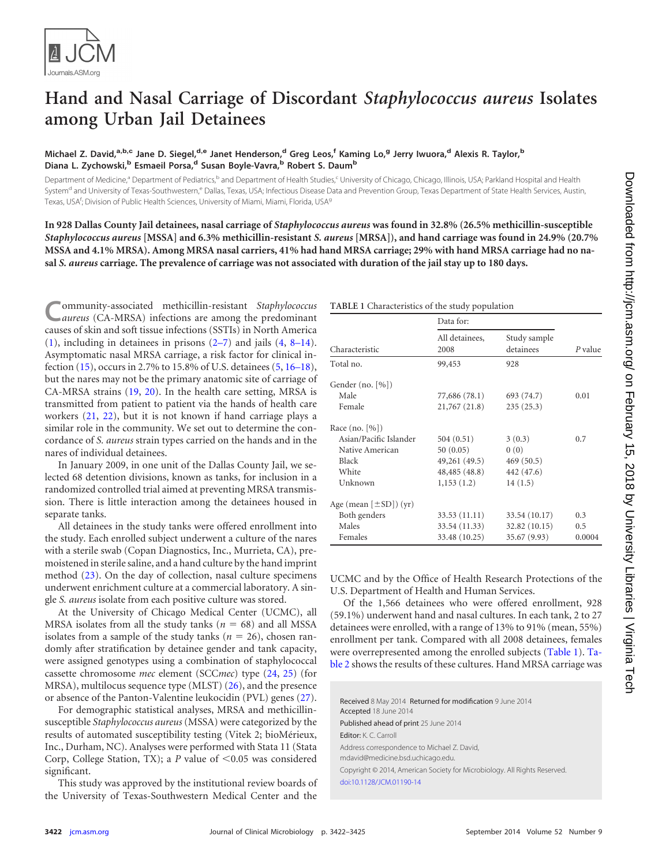

## **Hand and Nasal Carriage of Discordant** *Staphylococcus aureus* **Isolates among Urban Jail Detainees**

## **Michael Z. David,a,b,c Jane D. Siegel,d,e Janet Henderson,<sup>d</sup> Greg Leos,<sup>f</sup> Kaming Lo,<sup>g</sup> Jerry Iwuora,<sup>d</sup> Alexis R. Taylor,<sup>b</sup> Diana L. Zychowski,<sup>b</sup> Esmaeil Porsa,<sup>d</sup> Susan Boyle-Vavra,<sup>b</sup> Robert S. Daum<sup>b</sup>**

Department of Medicine,<sup>a</sup> Department of Pediatrics,<sup>b</sup> and Department of Health Studies,<sup>c</sup> University of Chicago, Chicago, Illinois, USA; Parkland Hospital and Health System<sup>d</sup> and University of Texas-Southwestern,<sup>e</sup> Dallas, Texas, USA; Infectious Disease Data and Prevention Group, Texas Department of State Health Services, Austin, Texas, USA<sup>f</sup>; Division of Public Health Sciences, University of Miami, Miami, Florida, USA<sup>g</sup>

**In 928 Dallas County Jail detainees, nasal carriage of** *Staphylococcus aureus* **was found in 32.8% (26.5% methicillin-susceptible** *Staphylococcus aureus* **[MSSA] and 6.3% methicillin-resistant** *S. aureus* **[MRSA]), and hand carriage was found in 24.9% (20.7% MSSA and 4.1% MRSA). Among MRSA nasal carriers, 41% had hand MRSA carriage; 29% with hand MRSA carriage had no nasal** *S. aureus* **carriage. The prevalence of carriage was not associated with duration of the jail stay up to 180 days.**

**C**ommunity-associated methicillin-resistant *Staphylococcus aureus* (CA-MRSA) infections are among the predominant causes of skin and soft tissue infections (SSTIs) in North America [\(1\)](#page-2-0), including in detainees in prisons [\(2](#page-2-1)[–](#page-2-2)[7\)](#page-2-3) and jails [\(4,](#page-2-4) [8](#page-2-5)[–](#page-3-0)[14\)](#page-3-1). Asymptomatic nasal MRSA carriage, a risk factor for clinical infection [\(15\)](#page-3-2), occurs in 2.7% to 15.8% of U.S. detainees [\(5,](#page-2-6) [16](#page-3-3)[–](#page-3-4)[18\)](#page-3-5), but the nares may not be the primary anatomic site of carriage of CA-MRSA strains [\(19,](#page-3-6) [20\)](#page-3-7). In the health care setting, MRSA is transmitted from patient to patient via the hands of health care workers [\(21,](#page-3-8) [22\)](#page-3-9), but it is not known if hand carriage plays a similar role in the community. We set out to determine the concordance of *S. aureus* strain types carried on the hands and in the nares of individual detainees.

In January 2009, in one unit of the Dallas County Jail, we selected 68 detention divisions, known as tanks, for inclusion in a randomized controlled trial aimed at preventing MRSA transmission. There is little interaction among the detainees housed in separate tanks.

All detainees in the study tanks were offered enrollment into the study. Each enrolled subject underwent a culture of the nares with a sterile swab (Copan Diagnostics, Inc., Murrieta, CA), premoistened in sterile saline, and a hand culture by the hand imprint method [\(23\)](#page-3-10). On the day of collection, nasal culture specimens underwent enrichment culture at a commercial laboratory. A single *S. aureus* isolate from each positive culture was stored.

At the University of Chicago Medical Center (UCMC), all MRSA isolates from all the study tanks  $(n = 68)$  and all MSSA isolates from a sample of the study tanks ( $n = 26$ ), chosen randomly after stratification by detainee gender and tank capacity, were assigned genotypes using a combination of staphylococcal cassette chromosome *mec* element (SCC*mec*) type [\(24,](#page-3-11) [25\)](#page-3-12) (for MRSA), multilocus sequence type (MLST) [\(26\)](#page-3-13), and the presence or absence of the Panton-Valentine leukocidin (PVL) genes [\(27\)](#page-3-14).

For demographic statistical analyses, MRSA and methicillinsusceptible *Staphylococcus aureus* (MSSA) were categorized by the results of automated susceptibility testing (Vitek 2; bioMérieux, Inc., Durham, NC). Analyses were performed with Stata 11 (Stata Corp, College Station, TX); a  $P$  value of  $\leq 0.05$  was considered significant.

This study was approved by the institutional review boards of the University of Texas-Southwestern Medical Center and the

<span id="page-0-0"></span>**TABLE 1** Characteristics of the study population

|                             | Data for:              |                           |         |
|-----------------------------|------------------------|---------------------------|---------|
| Characteristic              | All detainees,<br>2008 | Study sample<br>detainees | P value |
| Total no.                   | 99,453                 | 928                       |         |
| Gender (no. [%])            |                        |                           |         |
| Male                        | 77,686 (78.1)          | 693 (74.7)                | 0.01    |
| Female                      | 21,767 (21.8)          | 235(25.3)                 |         |
| Race (no. [%])              |                        |                           |         |
| Asian/Pacific Islander      | 504(0.51)              | 3(0.3)                    | 0.7     |
| Native American             | 50(0.05)               | 0(0)                      |         |
| Black                       | 49,261 (49.5)          | 469(50.5)                 |         |
| White                       | 48,485 (48.8)          | 442 (47.6)                |         |
| Unknown                     | 1,153(1.2)             | 14(1.5)                   |         |
| Age (mean $[\pm SD]$ ) (yr) |                        |                           |         |
| Both genders                | 33.53 (11.11)          | 33.54 (10.17)             | 0.3     |
| Males                       | 33.54 (11.33)          | 32.82(10.15)              | 0.5     |
| Females                     | 33.48 (10.25)          | 35.67 (9.93)              | 0.0004  |
|                             |                        |                           |         |

UCMC and by the Office of Health Research Protections of the U.S. Department of Health and Human Services.

Of the 1,566 detainees who were offered enrollment, 928 (59.1%) underwent hand and nasal cultures. In each tank, 2 to 27 detainees were enrolled, with a range of 13% to 91% (mean, 55%) enrollment per tank. Compared with all 2008 detainees, females were overrepresented among the enrolled subjects [\(Table 1\)](#page-0-0). [Ta](#page-1-0)[ble](#page-1-0) 2 shows the results of these cultures. Hand MRSA carriage was

Received 8 May 2014 Returned for modification 9 June 2014 Accepted 18 June 2014 Published ahead of print 25 June 2014 Editor: K. C. Carroll Address correspondence to Michael Z. David, mdavid@medicine.bsd.uchicago.edu. Copyright © 2014, American Society for Microbiology. All Rights Reserved. [doi:10.1128/JCM.01190-14](http://dx.doi.org/10.1128/JCM.01190-14)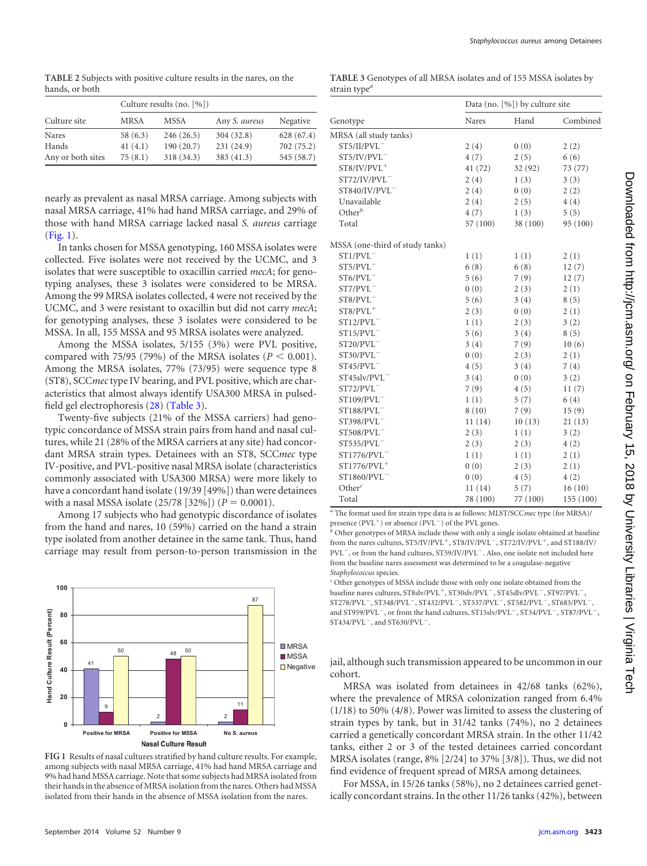<span id="page-1-0"></span>**TABLE 2** Subjects with positive culture results in the nares, on the hands, or both

|                   | Culture results (no. [%]) |            |               |            |
|-------------------|---------------------------|------------|---------------|------------|
| Culture site      | MRSA                      | MSSA       | Any S. aureus | Negative   |
| Nares             | 58(6.3)                   | 246(26.5)  | 304(32.8)     | 628 (67.4) |
| Hands             | 41(4.1)                   | 190(20.7)  | 231 (24.9)    | 702 (75.2) |
| Any or both sites | 75(8.1)                   | 318 (34.3) | 383 (41.3)    | 545 (58.7) |

nearly as prevalent as nasal MRSA carriage. Among subjects with nasal MRSA carriage, 41% had hand MRSA carriage, and 29% of those with hand MRSA carriage lacked nasal *S. aureus* carriage [\(Fig. 1\)](#page-1-1).

In tanks chosen for MSSA genotyping, 160 MSSA isolates were collected. Five isolates were not received by the UCMC, and 3 isolates that were susceptible to oxacillin carried *mecA*; for genotyping analyses, these 3 isolates were considered to be MRSA. Among the 99 MRSA isolates collected, 4 were not received by the UCMC, and 3 were resistant to oxacillin but did not carry *mecA*; for genotyping analyses, these 3 isolates were considered to be MSSA. In all, 155 MSSA and 95 MRSA isolates were analyzed.

Among the MSSA isolates, 5/155 (3%) were PVL positive, compared with 75/95 (79%) of the MRSA isolates ( $P < 0.001$ ). Among the MRSA isolates, 77% (73/95) were sequence type 8 (ST8), SCC*mec*type IV bearing, and PVL positive, which are characteristics that almost always identify USA300 MRSA in pulsedfield gel electrophoresis [\(28\)](#page-3-15) [\(Table 3\)](#page-1-2).

Twenty-five subjects (21% of the MSSA carriers) had genotypic concordance of MSSA strain pairs from hand and nasal cultures, while 21 (28% of the MRSA carriers at any site) had concordant MRSA strain types. Detainees with an ST8, SCC*mec* type IV-positive, and PVL-positive nasal MRSA isolate (characteristics commonly associated with USA300 MRSA) were more likely to have a concordant hand isolate (19/39 [49%]) than were detainees with a nasal MSSA isolate (25/78 [32%]) ( $P = 0.0001$ ).

Among 17 subjects who had genotypic discordance of isolates from the hand and nares, 10 (59%) carried on the hand a strain type isolated from another detainee in the same tank. Thus, hand carriage may result from person-to-person transmission in the



<span id="page-1-1"></span>**FIG 1** Results of nasal cultures stratified by hand culture results. For example, among subjects with nasal MRSA carriage, 41% had hand MRSA carriage and 9% had hand MSSA carriage. Note that some subjects had MRSA isolated from their hands in the absence of MRSA isolation from the nares. Others had MSSA isolated from their hands in the absence of MSSA isolation from the nares.

| September 2014 Volume 52 Number 9 |  |
|-----------------------------------|--|

<span id="page-1-2"></span>

| TABLE 3 Genotypes of all MRSA isolates and of 155 MSSA isolates by |  |  |
|--------------------------------------------------------------------|--|--|
| strain type <sup>a</sup>                                           |  |  |

|                                 | Data (no. [%]) by culture site |          |           |
|---------------------------------|--------------------------------|----------|-----------|
| Genotype                        | Nares                          | Hand     | Combined  |
| MRSA (all study tanks)          |                                |          |           |
| ST5/II/PVL                      | 2(4)                           | 0(0)     | 2(2)      |
| ST5/IV/PVL                      | 4(7)                           | 2(5)     | 6(6)      |
| $ST8/IV/PVL^+$                  | 41 (72)                        | 32 (92)  | 73 (77)   |
| ST72/IV/PVL                     | 2(4)                           | 1(3)     | 3(3)      |
| ST840/IV/PVL                    | 2(4)                           | 0(0)     | 2(2)      |
| Unavailable                     | 2(4)                           | 2(5)     | 4(4)      |
| $Other^b$                       | 4(7)                           | 1(3)     | 5(5)      |
| Total                           | 57 (100)                       | 38 (100) | 95 (100)  |
| MSSA (one-third of study tanks) |                                |          |           |
| $ST1/PVL^-$                     | 1(1)                           | 1(1)     | 2(1)      |
| ST5/PVL                         | 6(8)                           | 6(8)     | 12(7)     |
| $ST6/PVL^-$                     | 5(6)                           | 7(9)     | 12(7)     |
| $ST7/PUL^-$                     | 0(0)                           | 2(3)     | 2(1)      |
| $ST8/PVL^-$                     | 5(6)                           | 3(4)     | 8(5)      |
| $ST8/PVL^+$                     | 2(3)                           | 0(0)     | 2(1)      |
| $ST12/PVL^-$                    | 1(1)                           | 2(3)     | 3(2)      |
| $ST15/PVL^-$                    | 5(6)                           | 3(4)     | 8(5)      |
| ST20/PVL                        | 3(4)                           | 7(9)     | 10(6)     |
| $ST30/PVL^-$                    | 0(0)                           | 2(3)     | 2(1)      |
| $ST45/PVL^-$                    | 4(5)                           | 3(4)     | 7(4)      |
| $ST45$ slv/PVL $^-$             | 3(4)                           | 0(0)     | 3(2)      |
| $ST72/PVL^-$                    | 7(9)                           | 4(5)     | 11(7)     |
| ST109/PVL                       | 1(1)                           | 5(7)     | 6(4)      |
| $ST188/PVL^-$                   | 8(10)                          | 7(9)     | 15(9)     |
| ST398/PVL                       | 11(14)                         | 10(13)   | 21(13)    |
| ST508/PVL                       | 2(3)                           | 1(1)     | 3(2)      |
| $ST535/PVL^-$                   | 2(3)                           | 2(3)     | 4(2)      |
| ST1776/PVL                      | 1(1)                           | 1(1)     | 2(1)      |
| $ST1776/PVL^+$                  | 0(0)                           | 2(3)     | 2(1)      |
| ST1860/PVL                      | 0(0)                           | 4(5)     | 4(2)      |
| Other $\epsilon$                | 11(14)                         | 5(7)     | 16(10)    |
| Total                           | 78 (100)                       | 77 (100) | 155 (100) |

*<sup>a</sup>* The format used for strain type data is as follows: MLST/SCC*mec* type (for MRSA)/ presence  $(PVL<sup>+</sup>)$  or absence  $(PVL<sup>-</sup>)$  of the PVL genes.

*<sup>b</sup>* Other genotypes of MRSA include those with only a single isolate obtained at baseline from the nares cultures,  $ST5/IV/PVL^+$ ,  $ST8/IV/PVL^-$ ,  $ST72/IV/PVL^+$ , and  $ST188/IV/P$  $\mathrm{PVL}^-$  , or from the hand cultures, ST59/IV/PVL $^-$ . Also, one isolate not included here from the baseline nares assessment was determined to be a coagulase-negative *Staphylococcus* species.

*<sup>c</sup>* Other genotypes of MSSA include those with only one isolate obtained from the baseline nares cultures, ST8slv/PVL<sup>+</sup>, ST30slv/PVL<sup>-</sup>, ST45dlv/PVL<sup>-</sup>, ST97/PVL<sup>-</sup>,  $ST278/PVL^-, ST348/PVL^-, ST432/PVL^-, ST537/PVL^-, ST582/PVL^-, ST683/PVL^-,$ and ST959/PVL<sup>-</sup>, or from the hand cultures, ST15slv/PVL<sup>-</sup>, ST34/PVL<sup>-</sup>, ST87/PVL<sup>-</sup>,  $ST434/PVL^-$ , and  $ST630/PVL^-$ .

jail, although such transmission appeared to be uncommon in our cohort.

MRSA was isolated from detainees in 42/68 tanks (62%), where the prevalence of MRSA colonization ranged from 6.4% (1/18) to 50% (4/8). Power was limited to assess the clustering of strain types by tank, but in 31/42 tanks (74%), no 2 detainees carried a genetically concordant MRSA strain. In the other 11/42 tanks, either 2 or 3 of the tested detainees carried concordant MRSA isolates (range, 8% [2/24] to 37% [3/8]). Thus, we did not find evidence of frequent spread of MRSA among detainees.

For MSSA, in 15/26 tanks (58%), no 2 detainees carried genetically concordant strains. In the other 11/26 tanks (42%), between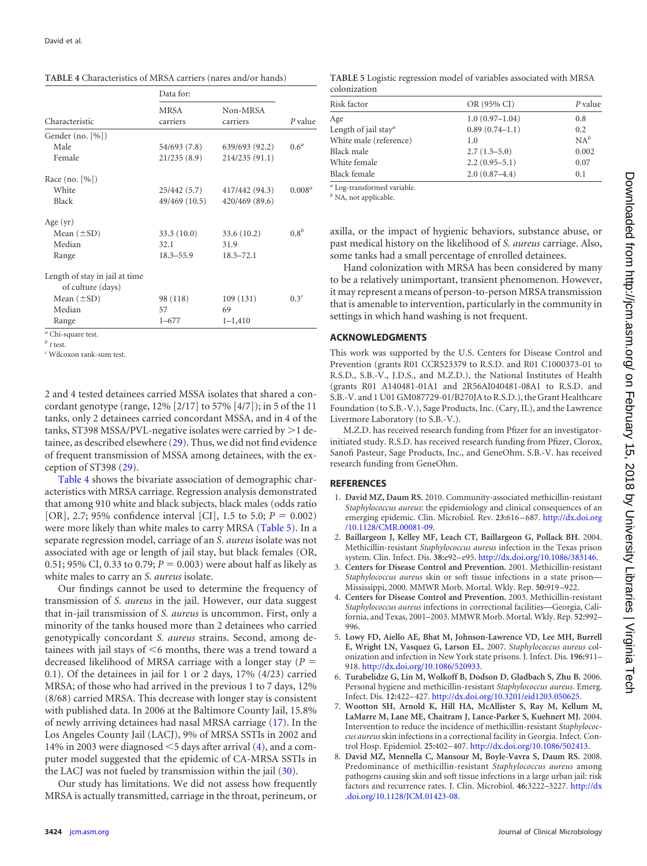<span id="page-2-7"></span>

|                                                     | Data for:        |                      |                  |
|-----------------------------------------------------|------------------|----------------------|------------------|
| Characteristic                                      | MRSA<br>carriers | Non-MRSA<br>carriers | P value          |
| Gender (no. $[\%]$ )                                |                  |                      |                  |
| Male                                                | 54/693 (7.8)     | 639/693 (92.2)       | 0.6 <sup>a</sup> |
| Female                                              | 21/235(8.9)      | 214/235(91.1)        |                  |
| Race $(no. [%])$                                    |                  |                      |                  |
| White                                               | 25/442 (5.7)     | 417/442 (94.3)       | $0.008^{a}$      |
| Black                                               | 49/469 (10.5)    | 420/469 (89.6)       |                  |
| Age $(yr)$                                          |                  |                      |                  |
| Mean $(\pm SD)$                                     | 33.3(10.0)       | 33.6(10.2)           | 0.8 <sup>b</sup> |
| Median                                              | 32.1             | 31.9                 |                  |
| Range                                               | $18.3 - 55.9$    | $18.5 - 72.1$        |                  |
| Length of stay in jail at time<br>of culture (days) |                  |                      |                  |
| Mean $(\pm SD)$                                     | 98 (118)         | 109(131)             | $0.3^c$          |
| Median                                              | 57               | 69                   |                  |
| Range                                               | $1 - 677$        | $1 - 1,410$          |                  |
| $a \sim 1$ .                                        |                  |                      |                  |

*<sup>a</sup>* Chi-square test.

 $t$  *test.* 

*<sup>c</sup>* Wilcoxon rank-sum test.

2 and 4 tested detainees carried MSSA isolates that shared a concordant genotype (range, 12% [2/17] to 57% [4/7]); in 5 of the 11 tanks, only 2 detainees carried concordant MSSA, and in 4 of the tanks, ST398 MSSA/PVL-negative isolates were carried by  $>1$  detainee, as described elsewhere [\(29\)](#page-3-16). Thus, we did not find evidence of frequent transmission of MSSA among detainees, with the exception of ST398 [\(29\)](#page-3-16).

[Table 4](#page-2-7) shows the bivariate association of demographic characteristics with MRSA carriage. Regression analysis demonstrated that among 910 white and black subjects, black males (odds ratio [OR], 2.7; 95% confidence interval [CI], 1.5 to 5.0;  $P = 0.002$ ) were more likely than white males to carry MRSA [\(Table 5\)](#page-2-8). In a separate regression model, carriage of an *S. aureus* isolate was not associated with age or length of jail stay, but black females (OR, 0.51; 95% CI, 0.33 to 0.79;  $P = 0.003$ ) were about half as likely as white males to carry an *S. aureus* isolate.

Our findings cannot be used to determine the frequency of transmission of *S. aureus* in the jail. However, our data suggest that in-jail transmission of *S. aureus* is uncommon. First, only a minority of the tanks housed more than 2 detainees who carried genotypically concordant *S. aureus* strains. Second, among detainees with jail stays of  $\leq$ 6 months, there was a trend toward a decreased likelihood of MRSA carriage with a longer stay (*P* - 0.1). Of the detainees in jail for 1 or 2 days, 17% (4/23) carried MRSA; of those who had arrived in the previous 1 to 7 days, 12% (8/68) carried MRSA. This decrease with longer stay is consistent with published data. In 2006 at the Baltimore County Jail, 15.8% of newly arriving detainees had nasal MRSA carriage [\(17\)](#page-3-4). In the Los Angeles County Jail (LACJ), 9% of MRSA SSTIs in 2002 and 14% in 2003 were diagnosed  $\leq$ 5 days after arrival [\(4\)](#page-2-4), and a computer model suggested that the epidemic of CA-MRSA SSTIs in the LACJ was not fueled by transmission within the jail [\(30\)](#page-3-17).

Our study has limitations. We did not assess how frequently MRSA is actually transmitted, carriage in the throat, perineum, or

<span id="page-2-8"></span>**TABLE 5** Logistic regression model of variables associated with MRSA colonization

| Risk factor                      | OR (95% CI)       | P value |
|----------------------------------|-------------------|---------|
| Age                              | $1.0(0.97-1.04)$  | 0.8     |
| Length of jail stay <sup>a</sup> | $0.89(0.74-1.1)$  | 0.2     |
| White male (reference)           | 1.0               | $NA^b$  |
| Black male                       | $2.7(1.5-5.0)$    | 0.002   |
| White female                     | $2.2(0.95-5.1)$   | 0.07    |
| Black female                     | $2.0(0.87 - 4.4)$ | 0.1     |

*<sup>a</sup>* Log-transformed variable.

*<sup>b</sup>* NA, not applicable.

axilla, or the impact of hygienic behaviors, substance abuse, or past medical history on the likelihood of *S. aureus* carriage. Also, some tanks had a small percentage of enrolled detainees.

Hand colonization with MRSA has been considered by many to be a relatively unimportant, transient phenomenon. However, it may represent a means of person-to-person MRSA transmission that is amenable to intervention, particularly in the community in settings in which hand washing is not frequent.

## **ACKNOWLEDGMENTS**

This work was supported by the U.S. Centers for Disease Control and Prevention (grants R01 CCR523379 to R.S.D. and R01 C1000373-01 to R.S.D., S.B.-V., J.D.S., and M.Z.D.), the National Institutes of Health (grants R01 A140481-01A1 and 2R56AI040481-08A1 to R.S.D. and S.B.-V. and 1 U01 GM087729-01/B270JA to R.S.D.), the Grant Healthcare Foundation (to S.B.-V.), Sage Products, Inc. (Cary, IL), and the Lawrence Livermore Laboratory (to S.B.-V.).

M.Z.D. has received research funding from Pfizer for an investigatorinitiated study. R.S.D. has received research funding from Pfizer, Clorox, Sanofi Pasteur, Sage Products, Inc., and GeneOhm. S.B.-V. has received research funding from GeneOhm.

## <span id="page-2-0"></span>**REFERENCES**

- 1. **David MZ, Daum RS.** 2010. Community-associated methicillin-resistant *Staphylococcus aureus*: the epidemiology and clinical consequences of an emerging epidemic. Clin. Microbiol. Rev. **23:**616 – 687. [http://dx.doi.org](http://dx.doi.org/10.1128/CMR.00081-09) [/10.1128/CMR.00081-09.](http://dx.doi.org/10.1128/CMR.00081-09)
- <span id="page-2-1"></span>2. **Baillargeon J, Kelley MF, Leach CT, Baillargeon G, Pollack BH.** 2004. Methicillin-resistant *Staphylococcus aureus* infection in the Texas prison system. Clin. Infect. Dis. **38:**e92– e95. [http://dx.doi.org/10.1086/383146.](http://dx.doi.org/10.1086/383146)
- <span id="page-2-4"></span>3. **Centers for Disease Control and Prevention.** 2001. Methicillin-resistant *Staphylococcus aureus* skin or soft tissue infections in a state prison— Mississippi, 2000. MMWR Morb. Mortal. Wkly. Rep. **50:**919 –922.
- 4. **Centers for Disease Control and Prevention.** 2003. Methicillin-resistant *Staphylococcus aureus* infections in correctional facilities—Georgia, California, and Texas, 2001–2003. MMWR Morb. Mortal. Wkly. Rep. **52:**992– 996.
- <span id="page-2-6"></span>5. **Lowy FD, Aiello AE, Bhat M, Johnson-Lawrence VD, Lee MH, Burrell E, Wright LN, Vasquez G, Larson EL.** 2007. *Staphylococcus aureus* colonization and infection in New York state prisons. J. Infect. Dis. **196:**911– 918. [http://dx.doi.org/10.1086/520933.](http://dx.doi.org/10.1086/520933)
- <span id="page-2-3"></span><span id="page-2-2"></span>6. **Turabelidze G, Lin M, Wolkoff B, Dodson D, Gladbach S, Zhu B.** 2006. Personal hygiene and methicillin-resistant *Staphylococcus aureus*. Emerg. Infect. Dis. **12:**422– 427. [http://dx.doi.org/10.3201/eid1203.050625.](http://dx.doi.org/10.3201/eid1203.050625)
- 7. **Wootton SH, Arnold K, Hill HA, McAllister S, Ray M, Kellum M, LaMarre M, Lane ME, Chaitram J, Lance-Parker S, Kuehnert MJ.** 2004. Intervention to reduce the incidence of methicillin-resistant *Staphylococcus aureus* skin infections in a correctional facility in Georgia. Infect. Control Hosp. Epidemiol. **25:**402– 407. [http://dx.doi.org/10.1086/502413.](http://dx.doi.org/10.1086/502413)
- <span id="page-2-5"></span>8. **David MZ, Mennella C, Mansour M, Boyle-Vavra S, Daum RS.** 2008. Predominance of methicillin-resistant *Staphylococcus aureus* among pathogens causing skin and soft tissue infections in a large urban jail: risk factors and recurrence rates. J. Clin. Microbiol. **46:**3222–3227. [http://dx](http://dx.doi.org/10.1128/JCM.01423-08) [.doi.org/10.1128/JCM.01423-08.](http://dx.doi.org/10.1128/JCM.01423-08)